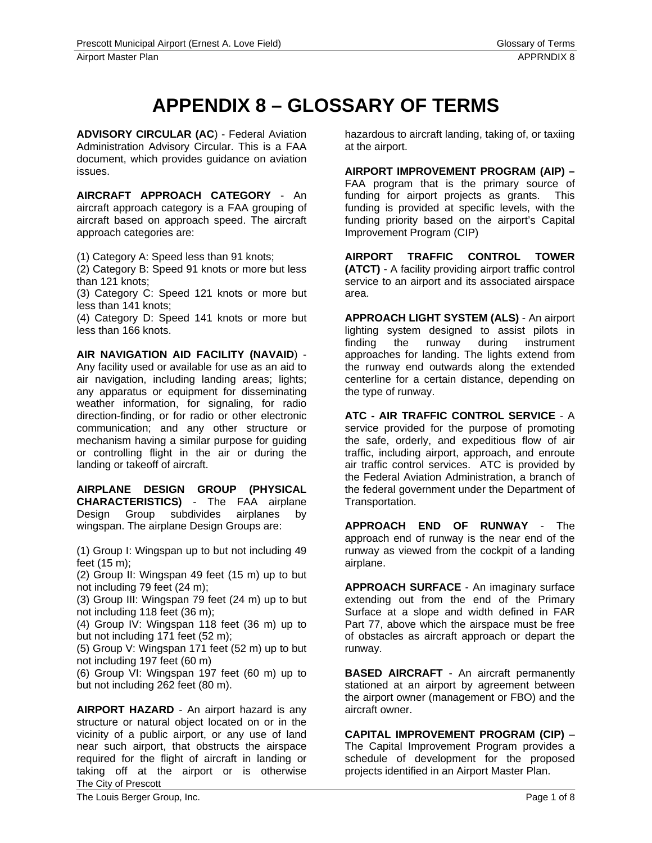## **APPENDIX 8 – GLOSSARY OF TERMS**

**ADVISORY CIRCULAR (AC**) - Federal Aviation Administration Advisory Circular. This is a FAA document, which provides guidance on aviation issues.

**AIRCRAFT APPROACH CATEGORY** - An aircraft approach category is a FAA grouping of aircraft based on approach speed. The aircraft approach categories are:

(1) Category A: Speed less than 91 knots;

(2) Category B: Speed 91 knots or more but less than 121 knots;

(3) Category C: Speed 121 knots or more but less than 141 knots;

(4) Category D: Speed 141 knots or more but less than 166 knots.

**AIR NAVIGATION AID FACILITY (NAVAID**) - Any facility used or available for use as an aid to

air navigation, including landing areas; lights; any apparatus or equipment for disseminating weather information, for signaling, for radio direction-finding, or for radio or other electronic communication; and any other structure or mechanism having a similar purpose for guiding or controlling flight in the air or during the landing or takeoff of aircraft.

**AIRPLANE DESIGN GROUP (PHYSICAL CHARACTERISTICS)** - The FAA airplane Design Group subdivides airplanes by wingspan. The airplane Design Groups are:

(1) Group I: Wingspan up to but not including 49 feet (15 m);

(2) Group II: Wingspan 49 feet (15 m) up to but not including 79 feet (24 m);

(3) Group III: Wingspan 79 feet (24 m) up to but not including 118 feet (36 m);

(4) Group IV: Wingspan 118 feet (36 m) up to but not including 171 feet (52 m);

(5) Group V: Wingspan 171 feet (52 m) up to but not including 197 feet (60 m)

(6) Group VI: Wingspan 197 feet (60 m) up to but not including 262 feet (80 m).

The City of Prescott **AIRPORT HAZARD** - An airport hazard is any structure or natural object located on or in the vicinity of a public airport, or any use of land near such airport, that obstructs the airspace required for the flight of aircraft in landing or taking off at the airport or is otherwise

hazardous to aircraft landing, taking of, or taxiing at the airport.

**AIRPORT IMPROVEMENT PROGRAM (AIP) –**  FAA program that is the primary source of funding for airport projects as grants. This funding is provided at specific levels, with the funding priority based on the airport's Capital Improvement Program (CIP)

**AIRPORT TRAFFIC CONTROL TOWER (ATCT)** - A facility providing airport traffic control service to an airport and its associated airspace area.

**APPROACH LIGHT SYSTEM (ALS)** - An airport lighting system designed to assist pilots in finding the runway during instrument approaches for landing. The lights extend from the runway end outwards along the extended centerline for a certain distance, depending on the type of runway.

**ATC - AIR TRAFFIC CONTROL SERVICE** - A service provided for the purpose of promoting the safe, orderly, and expeditious flow of air traffic, including airport, approach, and enroute air traffic control services. ATC is provided by the Federal Aviation Administration, a branch of the federal government under the Department of Transportation.

**APPROACH END OF RUNWAY** - The approach end of runway is the near end of the runway as viewed from the cockpit of a landing airplane.

**APPROACH SURFACE** - An imaginary surface extending out from the end of the Primary Surface at a slope and width defined in FAR Part 77, above which the airspace must be free of obstacles as aircraft approach or depart the runway.

**BASED AIRCRAFT** - An aircraft permanently stationed at an airport by agreement between the airport owner (management or FBO) and the aircraft owner.

**CAPITAL IMPROVEMENT PROGRAM (CIP)** – The Capital Improvement Program provides a schedule of development for the proposed projects identified in an Airport Master Plan.

The Louis Berger Group, Inc. **Page 1 of 8** and 2001 12 and 2008 12 and 2008 12 and 2008 12 and 2008 12 and 2008 12 and 2008 12 and 2008 12 and 2008 12 and 2008 12 and 2008 12 and 2008 12 and 2008 12 and 2008 12 and 2008 12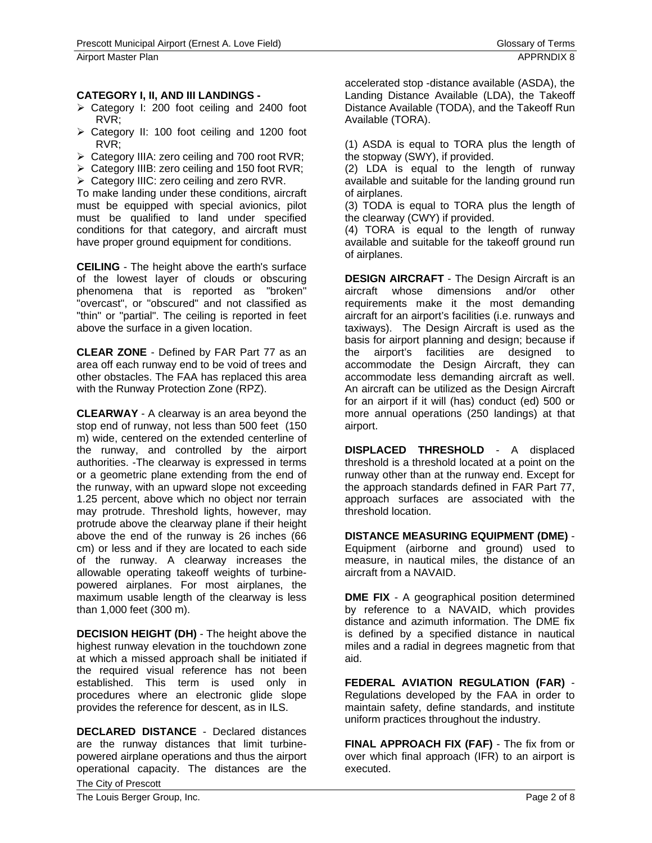## **CATEGORY I, II, AND III LANDINGS -**

- $\triangleright$  Category I: 200 foot ceiling and 2400 foot RVR;
- $\triangleright$  Category II: 100 foot ceiling and 1200 foot RVR;
- $\triangleright$  Category IIIA: zero ceiling and 700 root RVR;
- $\triangleright$  Category IIIB: zero ceiling and 150 foot RVR;
- ¾ Category IIIC: zero ceiling and zero RVR.

To make landing under these conditions, aircraft must be equipped with special avionics, pilot must be qualified to land under specified conditions for that category, and aircraft must have proper ground equipment for conditions.

**CEILING** - The height above the earth's surface of the lowest layer of clouds or obscuring phenomena that is reported as "broken" "overcast", or "obscured" and not classified as "thin" or "partial". The ceiling is reported in feet above the surface in a given location.

**CLEAR ZONE** - Defined by FAR Part 77 as an area off each runway end to be void of trees and other obstacles. The FAA has replaced this area with the Runway Protection Zone (RPZ).

**CLEARWAY** - A clearway is an area beyond the stop end of runway, not less than 500 feet (150 m) wide, centered on the extended centerline of the runway, and controlled by the airport authorities. -The clearway is expressed in terms or a geometric plane extending from the end of the runway, with an upward slope not exceeding 1.25 percent, above which no object nor terrain may protrude. Threshold lights, however, may protrude above the clearway plane if their height above the end of the runway is 26 inches (66 cm) or less and if they are located to each side of the runway. A clearway increases the allowable operating takeoff weights of turbinepowered airplanes. For most airplanes, the maximum usable length of the clearway is less than 1,000 feet (300 m).

**DECISION HEIGHT (DH)** - The height above the highest runway elevation in the touchdown zone at which a missed approach shall be initiated if the required visual reference has not been established. This term is used only in procedures where an electronic glide slope provides the reference for descent, as in ILS.

The City of Prescott **DECLARED DISTANCE** - Declared distances are the runway distances that limit turbinepowered airplane operations and thus the airport operational capacity. The distances are the

accelerated stop -distance available (ASDA), the Landing Distance Available (LDA), the Takeoff Distance Available (TODA), and the Takeoff Run Available (TORA).

(1) ASDA is equal to TORA plus the length of the stopway (SWY), if provided.

(2) LDA is equal to the length of runway available and suitable for the landing ground run of airplanes.

(3) TODA is equal to TORA plus the length of the clearway (CWY) if provided.

(4) TORA is equal to the length of runway available and suitable for the takeoff ground run of airplanes.

**DESIGN AIRCRAFT** - The Design Aircraft is an aircraft whose dimensions and/or other requirements make it the most demanding aircraft for an airport's facilities (i.e. runways and taxiways). The Design Aircraft is used as the basis for airport planning and design; because if the airport's facilities are designed to accommodate the Design Aircraft, they can accommodate less demanding aircraft as well. An aircraft can be utilized as the Design Aircraft for an airport if it will (has) conduct (ed) 500 or more annual operations (250 landings) at that airport.

**DISPLACED THRESHOLD** - A displaced threshold is a threshold located at a point on the runway other than at the runway end. Except for the approach standards defined in FAR Part 77, approach surfaces are associated with the threshold location.

**DISTANCE MEASURING EQUIPMENT (DME)** - Equipment (airborne and ground) used to measure, in nautical miles, the distance of an aircraft from a NAVAID.

**DME FIX** - A geographical position determined by reference to a NAVAID, which provides distance and azimuth information. The DME fix is defined by a specified distance in nautical miles and a radial in degrees magnetic from that aid.

**FEDERAL AVIATION REGULATION (FAR)** - Regulations developed by the FAA in order to maintain safety, define standards, and institute uniform practices throughout the industry.

**FINAL APPROACH FIX (FAF)** - The fix from or over which final approach (IFR) to an airport is executed.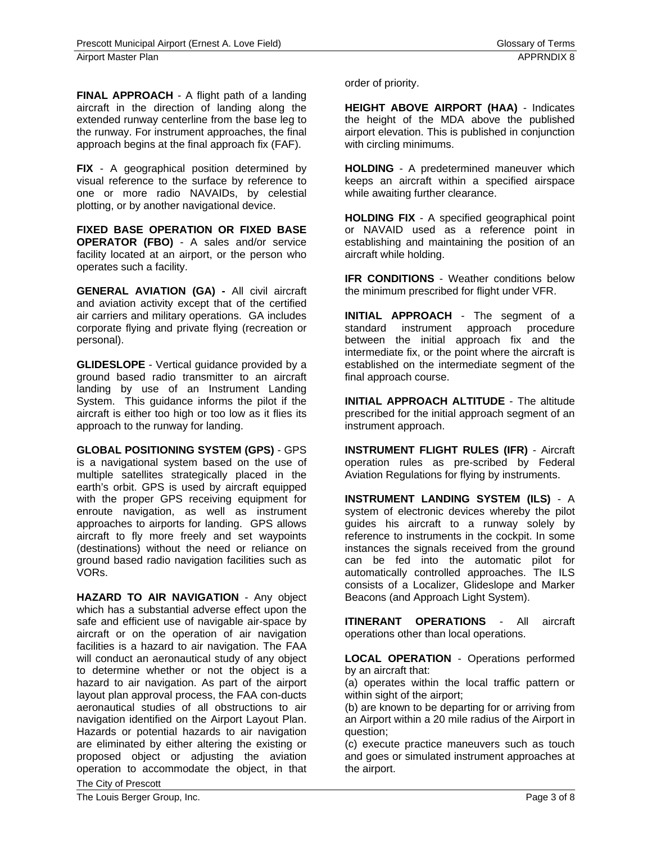**FINAL APPROACH** - A flight path of a landing aircraft in the direction of landing along the extended runway centerline from the base leg to the runway. For instrument approaches, the final approach begins at the final approach fix (FAF).

**FIX** - A geographical position determined by visual reference to the surface by reference to one or more radio NAVAIDs, by celestial plotting, or by another navigational device.

**FIXED BASE OPERATION OR FIXED BASE OPERATOR (FBO)** - A sales and/or service facility located at an airport, or the person who operates such a facility.

**GENERAL AVIATION (GA) -** All civil aircraft and aviation activity except that of the certified air carriers and military operations. GA includes corporate flying and private flying (recreation or personal).

**GLIDESLOPE** - Vertical guidance provided by a ground based radio transmitter to an aircraft landing by use of an Instrument Landing System. This guidance informs the pilot if the aircraft is either too high or too low as it flies its approach to the runway for landing.

**GLOBAL POSITIONING SYSTEM (GPS)** - GPS is a navigational system based on the use of multiple satellites strategically placed in the earth's orbit. GPS is used by aircraft equipped with the proper GPS receiving equipment for enroute navigation, as well as instrument approaches to airports for landing. GPS allows aircraft to fly more freely and set waypoints (destinations) without the need or reliance on ground based radio navigation facilities such as VORs.

The City of Prescott **HAZARD TO AIR NAVIGATION** - Any object which has a substantial adverse effect upon the safe and efficient use of navigable air-space by aircraft or on the operation of air navigation facilities is a hazard to air navigation. The FAA will conduct an aeronautical study of any object to determine whether or not the object is a hazard to air navigation. As part of the airport layout plan approval process, the FAA con-ducts aeronautical studies of all obstructions to air navigation identified on the Airport Layout Plan. Hazards or potential hazards to air navigation are eliminated by either altering the existing or proposed object or adjusting the aviation operation to accommodate the object, in that order of priority.

**HEIGHT ABOVE AIRPORT (HAA)** - Indicates the height of the MDA above the published airport elevation. This is published in conjunction with circling minimums.

**HOLDING** - A predetermined maneuver which keeps an aircraft within a specified airspace while awaiting further clearance.

**HOLDING FIX** - A specified geographical point or NAVAID used as a reference point in establishing and maintaining the position of an aircraft while holding.

**IFR CONDITIONS** - Weather conditions below the minimum prescribed for flight under VFR.

**INITIAL APPROACH** - The segment of a standard instrument approach procedure between the initial approach fix and the intermediate fix, or the point where the aircraft is established on the intermediate segment of the final approach course.

**INITIAL APPROACH ALTITUDE** - The altitude prescribed for the initial approach segment of an instrument approach.

**INSTRUMENT FLIGHT RULES (IFR)** - Aircraft operation rules as pre-scribed by Federal Aviation Regulations for flying by instruments.

**INSTRUMENT LANDING SYSTEM (ILS)** - A system of electronic devices whereby the pilot guides his aircraft to a runway solely by reference to instruments in the cockpit. In some instances the signals received from the ground can be fed into the automatic pilot for automatically controlled approaches. The ILS consists of a Localizer, Glideslope and Marker Beacons (and Approach Light System).

**ITINERANT OPERATIONS** - All aircraft operations other than local operations.

**LOCAL OPERATION** - Operations performed by an aircraft that:

(a) operates within the local traffic pattern or within sight of the airport;

(b) are known to be departing for or arriving from an Airport within a 20 mile radius of the Airport in question;

(c) execute practice maneuvers such as touch and goes or simulated instrument approaches at the airport.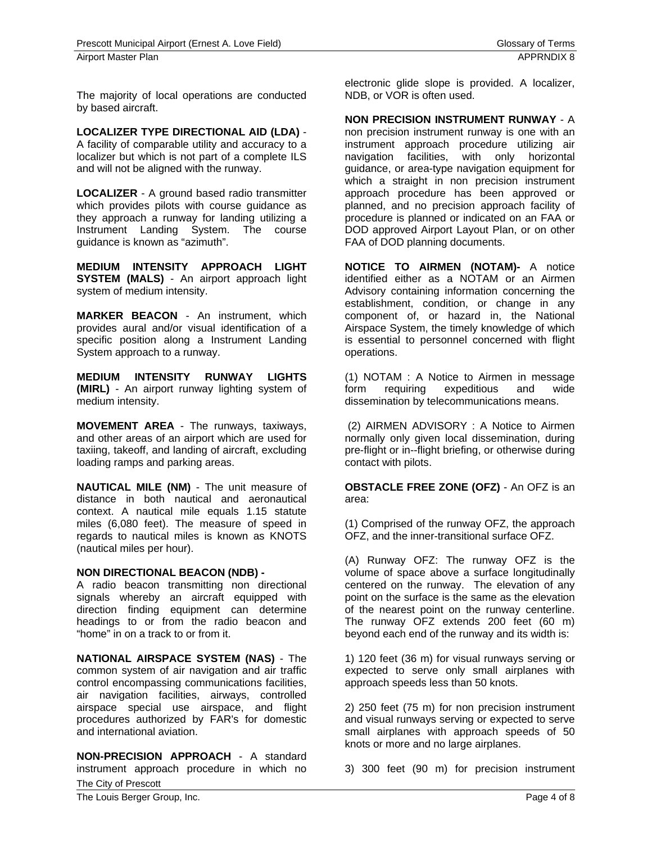The majority of local operations are conducted by based aircraft.

**LOCALIZER TYPE DIRECTIONAL AID (LDA)** - A facility of comparable utility and accuracy to a localizer but which is not part of a complete ILS and will not be aligned with the runway.

**LOCALIZER** - A ground based radio transmitter which provides pilots with course guidance as they approach a runway for landing utilizing a Instrument Landing System. The course guidance is known as "azimuth".

**MEDIUM INTENSITY APPROACH LIGHT SYSTEM (MALS)** - An airport approach light system of medium intensity.

**MARKER BEACON** - An instrument, which provides aural and/or visual identification of a specific position along a Instrument Landing System approach to a runway.

**MEDIUM INTENSITY RUNWAY LIGHTS (MIRL)** - An airport runway lighting system of medium intensity.

**MOVEMENT AREA** - The runways, taxiways, and other areas of an airport which are used for taxiing, takeoff, and landing of aircraft, excluding loading ramps and parking areas.

**NAUTICAL MILE (NM)** - The unit measure of distance in both nautical and aeronautical context. A nautical mile equals 1.15 statute miles (6,080 feet). The measure of speed in regards to nautical miles is known as KNOTS (nautical miles per hour).

## **NON DIRECTIONAL BEACON (NDB) -**

A radio beacon transmitting non directional signals whereby an aircraft equipped with direction finding equipment can determine headings to or from the radio beacon and "home" in on a track to or from it.

**NATIONAL AIRSPACE SYSTEM (NAS)** - The common system of air navigation and air traffic control encompassing communications facilities, air navigation facilities, airways, controlled airspace special use airspace, and flight procedures authorized by FAR's for domestic and international aviation.

The City of Prescott **NON-PRECISION APPROACH** - A standard instrument approach procedure in which no

electronic glide slope is provided. A localizer, NDB, or VOR is often used.

**NON PRECISION INSTRUMENT RUNWAY** - A

non precision instrument runway is one with an instrument approach procedure utilizing air navigation facilities, with only horizontal guidance, or area-type navigation equipment for which a straight in non precision instrument approach procedure has been approved or planned, and no precision approach facility of procedure is planned or indicated on an FAA or DOD approved Airport Layout Plan, or on other FAA of DOD planning documents.

**NOTICE TO AIRMEN (NOTAM)-** A notice identified either as a NOTAM or an Airmen Advisory containing information concerning the establishment, condition, or change in any component of, or hazard in, the National Airspace System, the timely knowledge of which is essential to personnel concerned with flight operations.

(1) NOTAM : A Notice to Airmen in message form requiring expeditious and wide dissemination by telecommunications means.

 (2) AIRMEN ADVISORY : A Notice to Airmen normally only given local dissemination, during pre-flight or in--flight briefing, or otherwise during contact with pilots.

**OBSTACLE FREE ZONE (OFZ)** - An OFZ is an area:

(1) Comprised of the runway OFZ, the approach OFZ, and the inner-transitional surface OFZ.

(A) Runway OFZ: The runway OFZ is the volume of space above a surface longitudinally centered on the runway. The elevation of any point on the surface is the same as the elevation of the nearest point on the runway centerline. The runway OFZ extends 200 feet (60 m) beyond each end of the runway and its width is:

1) 120 feet (36 m) for visual runways serving or expected to serve only small airplanes with approach speeds less than 50 knots.

2) 250 feet (75 m) for non precision instrument and visual runways serving or expected to serve small airplanes with approach speeds of 50 knots or more and no large airplanes.

3) 300 feet (90 m) for precision instrument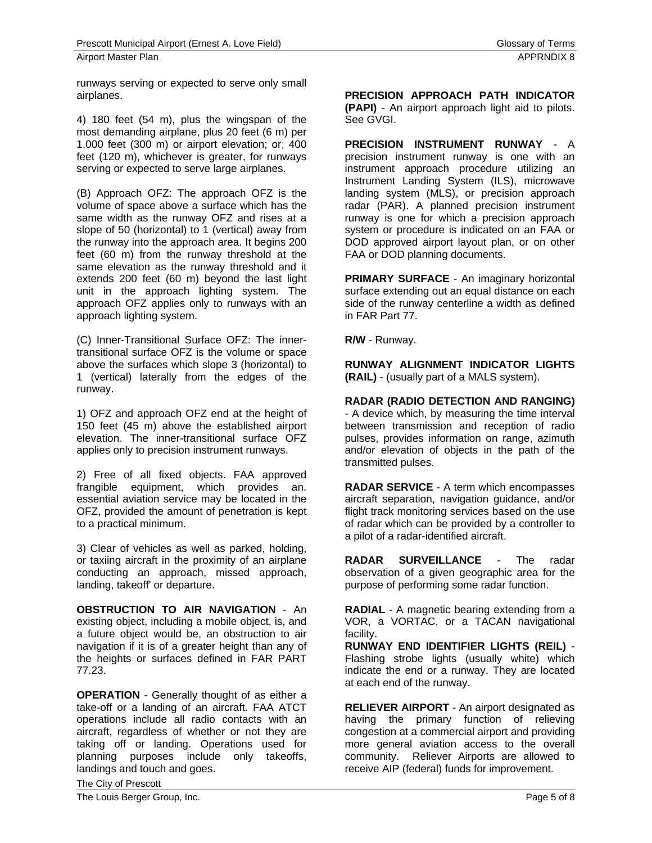runways serving or expected to serve only small airplanes.

4) 180 feet (54 m), plus the wingspan of the most demanding airplane, plus 20 feet (6 m) per 1,000 feet (300 m) or airport elevation; or, 400 feet (120 m), whichever is greater, for runways serving or expected to serve large airplanes.

(B) Approach OFZ: The approach OFZ is the volume of space above a surface which has the same width as the runway OFZ and rises at a slope of 50 (horizontal) to 1 (vertical) away from the runway into the approach area. It begins 200 feet (60 m) from the runway threshold at the same elevation as the runway threshold and it extends 200 feet (60 m) beyond the last light unit in the approach lighting system. The approach OFZ applies only to runways with an approach lighting system.

(C) Inner-Transitional Surface OFZ: The innertransitional surface OFZ is the volume or space above the surfaces which slope 3 (horizontal) to 1 (vertical) laterally from the edges of the runway.

1) OFZ and approach OFZ end at the height of 150 feet (45 m) above the established airport elevation. The inner-transitional surface OFZ applies only to precision instrument runways.

2) Free of all fixed objects. FAA approved frangible equipment, which provides an. essential aviation service may be located in the OFZ, provided the amount of penetration is kept to a practical minimum.

3) Clear of vehicles as well as parked, holding, or taxiing aircraft in the proximity of an airplane conducting an approach, missed approach, landing, takeoff' or departure.

**OBSTRUCTION TO AIR NAVIGATION** - An existing object, including a mobile object, is, and a future object would be, an obstruction to air navigation if it is of a greater height than any of the heights or surfaces defined in FAR PART 77.23.

**OPERATION** - Generally thought of as either a take-off or a landing of an aircraft. FAA ATCT operations include all radio contacts with an aircraft, regardless of whether or not they are taking off or landing. Operations used for planning purposes include only takeoffs, landings and touch and goes.

**PRECISION APPROACH PATH INDICATOR (PAPI)** - An airport approach light aid to pilots. See GVGI.

**PRECISION INSTRUMENT RUNWAY** - A precision instrument runway is one with an instrument approach procedure utilizing an Instrument Landing System (ILS), microwave landing system (MLS), or precision approach radar (PAR). A planned precision instrument runway is one for which a precision approach system or procedure is indicated on an FAA or DOD approved airport layout plan, or on other FAA or DOD planning documents.

**PRIMARY SURFACE** - An imaginary horizontal surface extending out an equal distance on each side of the runway centerline a width as defined in FAR Part 77.

**R/W** - Runway.

**RUNWAY ALIGNMENT INDICATOR LIGHTS (RAIL)** - (usually part of a MALS system).

**RADAR (RADIO DETECTION AND RANGING)** - A device which, by measuring the time interval between transmission and reception of radio pulses, provides information on range, azimuth and/or elevation of objects in the path of the transmitted pulses.

**RADAR SERVICE** - A term which encompasses aircraft separation, navigation guidance, and/or flight track monitoring services based on the use of radar which can be provided by a controller to a pilot of a radar-identified aircraft.

**RADAR SURVEILLANCE** - The radar observation of a given geographic area for the purpose of performing some radar function.

**RADIAL** - A magnetic bearing extending from a VOR, a VORTAC, or a TACAN navigational facility.

**RUNWAY END IDENTIFIER LIGHTS (REIL)** - Flashing strobe lights (usually white) which indicate the end or a runway. They are located at each end of the runway.

**RELIEVER AIRPORT** - An airport designated as having the primary function of relieving congestion at a commercial airport and providing more general aviation access to the overall community. Reliever Airports are allowed to receive AIP (federal) funds for improvement.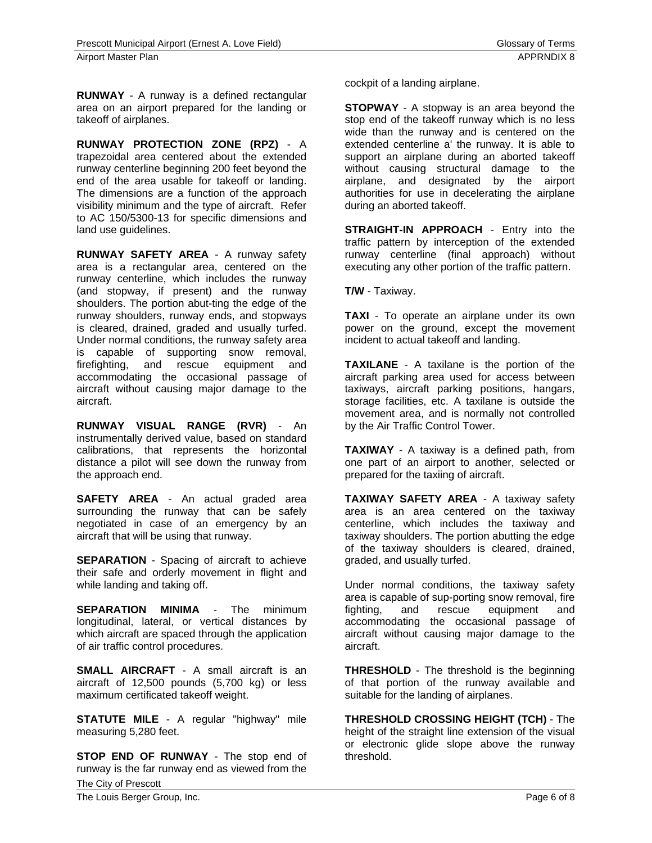**RUNWAY** - A runway is a defined rectangular area on an airport prepared for the landing or takeoff of airplanes.

**RUNWAY PROTECTION ZONE (RPZ)** - A trapezoidal area centered about the extended runway centerline beginning 200 feet beyond the end of the area usable for takeoff or landing. The dimensions are a function of the approach visibility minimum and the type of aircraft. Refer to AC 150/5300-13 for specific dimensions and land use guidelines.

**RUNWAY SAFETY AREA** - A runway safety area is a rectangular area, centered on the runway centerline, which includes the runway (and stopway, if present) and the runway shoulders. The portion abut-ting the edge of the runway shoulders, runway ends, and stopways is cleared, drained, graded and usually turfed. Under normal conditions, the runway safety area is capable of supporting snow removal, firefighting, and rescue equipment and accommodating the occasional passage of aircraft without causing major damage to the aircraft.

**RUNWAY VISUAL RANGE (RVR)** - An instrumentally derived value, based on standard calibrations, that represents the horizontal distance a pilot will see down the runway from the approach end.

**SAFETY AREA** - An actual graded area surrounding the runway that can be safely negotiated in case of an emergency by an aircraft that will be using that runway.

**SEPARATION** - Spacing of aircraft to achieve their safe and orderly movement in flight and while landing and taking off.

**SEPARATION MINIMA** - The minimum longitudinal, lateral, or vertical distances by which aircraft are spaced through the application of air traffic control procedures.

**SMALL AIRCRAFT** - A small aircraft is an aircraft of 12,500 pounds (5,700 kg) or less maximum certificated takeoff weight.

**STATUTE MILE** - A regular "highway" mile measuring 5,280 feet.

The City of Prescott **STOP END OF RUNWAY** - The stop end of runway is the far runway end as viewed from the cockpit of a landing airplane.

**STOPWAY** - A stopway is an area beyond the stop end of the takeoff runway which is no less wide than the runway and is centered on the extended centerline a' the runway. It is able to support an airplane during an aborted takeoff without causing structural damage to the airplane, and designated by the airport authorities for use in decelerating the airplane during an aborted takeoff.

**STRAIGHT-IN APPROACH** - Entry into the traffic pattern by interception of the extended runway centerline (final approach) without executing any other portion of the traffic pattern.

**T/W** - Taxiway.

**TAXI** - To operate an airplane under its own power on the ground, except the movement incident to actual takeoff and landing.

**TAXILANE** - A taxilane is the portion of the aircraft parking area used for access between taxiways, aircraft parking positions, hangars, storage facilities, etc. A taxilane is outside the movement area, and is normally not controlled by the Air Traffic Control Tower.

**TAXIWAY** - A taxiway is a defined path, from one part of an airport to another, selected or prepared for the taxiing of aircraft.

**TAXIWAY SAFETY AREA** - A taxiway safety area is an area centered on the taxiway centerline, which includes the taxiway and taxiway shoulders. The portion abutting the edge of the taxiway shoulders is cleared, drained, graded, and usually turfed.

Under normal conditions, the taxiway safety area is capable of sup-porting snow removal, fire fighting, and rescue equipment and accommodating the occasional passage of aircraft without causing major damage to the aircraft.

**THRESHOLD** - The threshold is the beginning of that portion of the runway available and suitable for the landing of airplanes.

**THRESHOLD CROSSING HEIGHT (TCH)** - The height of the straight line extension of the visual or electronic glide slope above the runway threshold.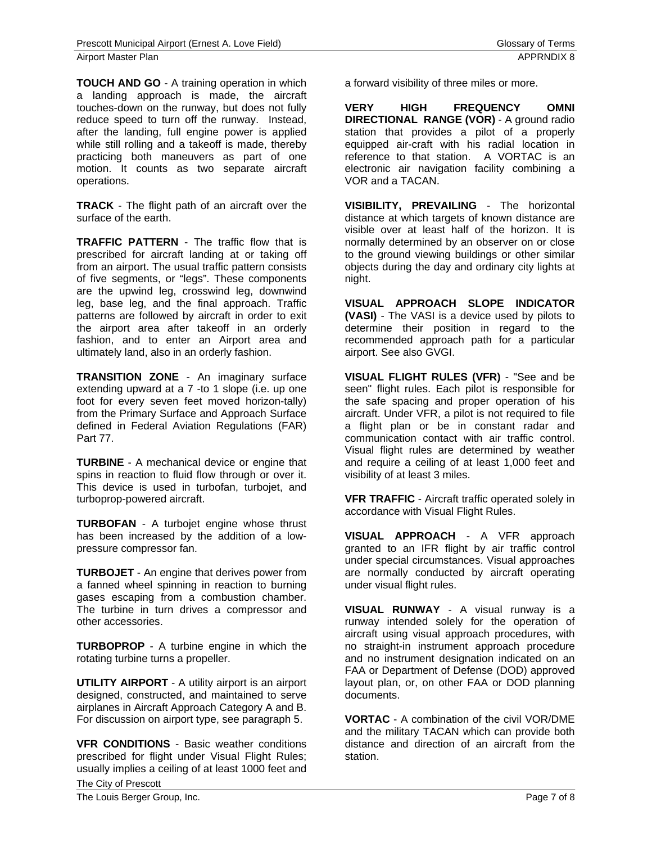**TOUCH AND GO** - A training operation in which a landing approach is made, the aircraft touches-down on the runway, but does not fully reduce speed to turn off the runway. Instead, after the landing, full engine power is applied while still rolling and a takeoff is made, thereby practicing both maneuvers as part of one motion. It counts as two separate aircraft operations.

**TRACK** - The flight path of an aircraft over the surface of the earth.

**TRAFFIC PATTERN** - The traffic flow that is prescribed for aircraft landing at or taking off from an airport. The usual traffic pattern consists of five segments, or "legs". These components are the upwind leg, crosswind leg, downwind leg, base leg, and the final approach. Traffic patterns are followed by aircraft in order to exit the airport area after takeoff in an orderly fashion, and to enter an Airport area and ultimately land, also in an orderly fashion.

**TRANSITION ZONE** - An imaginary surface extending upward at a 7 -to 1 slope (i.e. up one foot for every seven feet moved horizon-tally) from the Primary Surface and Approach Surface defined in Federal Aviation Regulations (FAR) Part 77.

**TURBINE** - A mechanical device or engine that spins in reaction to fluid flow through or over it. This device is used in turbofan, turbojet, and turboprop-powered aircraft.

**TURBOFAN** - A turbojet engine whose thrust has been increased by the addition of a lowpressure compressor fan.

**TURBOJET** - An engine that derives power from a fanned wheel spinning in reaction to burning gases escaping from a combustion chamber. The turbine in turn drives a compressor and other accessories.

**TURBOPROP** - A turbine engine in which the rotating turbine turns a propeller.

**UTILITY AIRPORT** - A utility airport is an airport designed, constructed, and maintained to serve airplanes in Aircraft Approach Category A and B. For discussion on airport type, see paragraph 5.

**VFR CONDITIONS** - Basic weather conditions prescribed for flight under Visual Flight Rules; usually implies a ceiling of at least 1000 feet and

**VERY HIGH FREQUENCY OMNI DIRECTIONAL RANGE (VOR)** - A ground radio station that provides a pilot of a properly equipped air-craft with his radial location in reference to that station. A VORTAC is an electronic air navigation facility combining a VOR and a TACAN.

**VISIBILITY, PREVAILING** - The horizontal distance at which targets of known distance are visible over at least half of the horizon. It is normally determined by an observer on or close to the ground viewing buildings or other similar objects during the day and ordinary city lights at night.

**VISUAL APPROACH SLOPE INDICATOR (VASI)** - The VASI is a device used by pilots to determine their position in regard to the recommended approach path for a particular airport. See also GVGI.

**VISUAL FLIGHT RULES (VFR)** - "See and be seen" flight rules. Each pilot is responsible for the safe spacing and proper operation of his aircraft. Under VFR, a pilot is not required to file a flight plan or be in constant radar and communication contact with air traffic control. Visual flight rules are determined by weather and require a ceiling of at least 1,000 feet and visibility of at least 3 miles.

**VFR TRAFFIC** - Aircraft traffic operated solely in accordance with Visual Flight Rules.

**VISUAL APPROACH** - A VFR approach granted to an IFR flight by air traffic control under special circumstances. Visual approaches are normally conducted by aircraft operating under visual flight rules.

**VISUAL RUNWAY** - A visual runway is a runway intended solely for the operation of aircraft using visual approach procedures, with no straight-in instrument approach procedure and no instrument designation indicated on an FAA or Department of Defense (DOD) approved layout plan, or, on other FAA or DOD planning documents.

**VORTAC** - A combination of the civil VOR/DME and the military TACAN which can provide both distance and direction of an aircraft from the station.

The City of Prescott